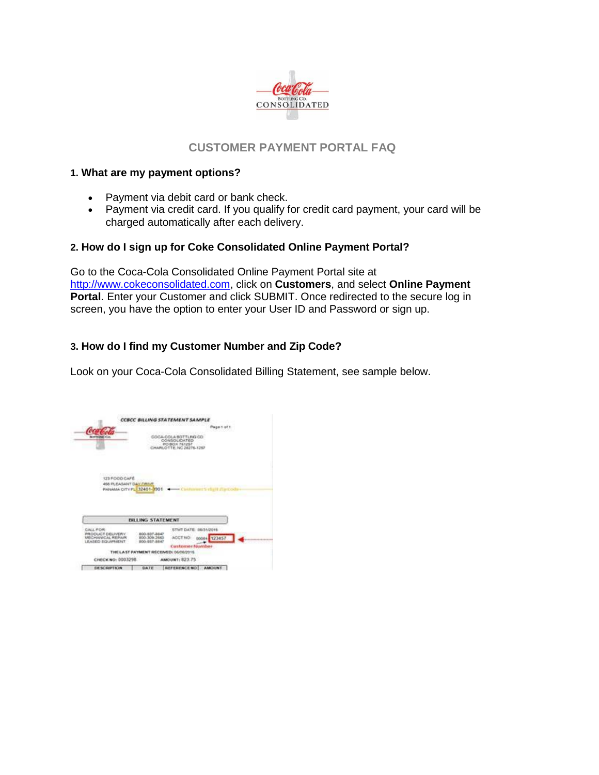

# **CUSTOMER PAYMENT PORTAL FAQ**

#### **1. What are my payment options?**

- Payment via debit card or bank check.
- Payment via credit card. If you qualify for credit card payment, your card will be charged automatically after each delivery.

### **2. How do I sign up for Coke Consolidated Online Payment Portal?**

Go to the Coca-Cola Consolidated Online Payment Portal site at [http://www.cokeconsolidated.com,](http://www.cokeconsolidated.com/) click on **Customers**, and select **Online Payment Portal.** Enter your Customer and click SUBMIT. Once redirected to the secure log in screen, you have the option to enter your User ID and Password or sign up.

# **3. How do I find my Customer Number and Zip Code?**

Look on your Coca-Cola Consolidated Billing Statement, see sample below.

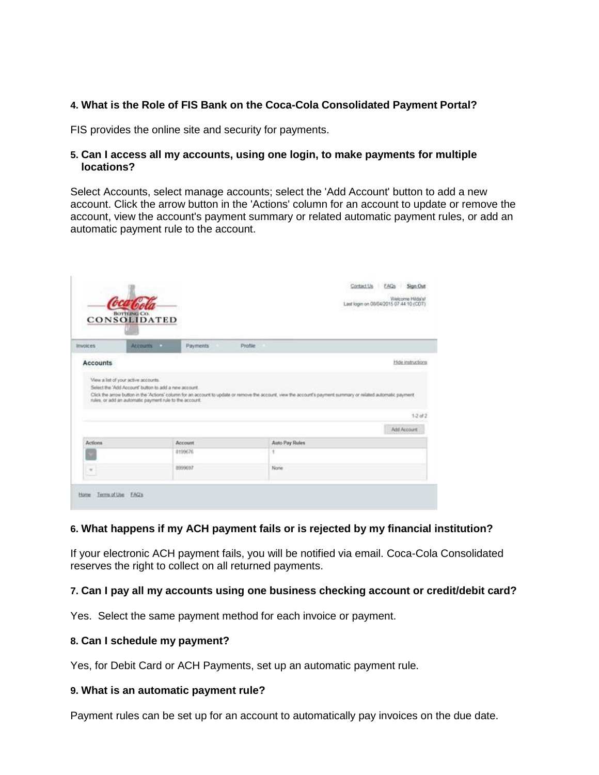# **4. What is the Role of FIS Bank on the Coca-Cola Consolidated Payment Portal?**

FIS provides the online site and security for payments.

#### **5. Can I access all my accounts, using one login, to make payments for multiple locations?**

Select Accounts, select manage accounts; select the 'Add Account' button to add a new account. Click the arrow button in the 'Actions' column for an account to update or remove the account, view the account's payment summary or related automatic payment rules, or add an automatic payment rule to the account.

|                 |                                                                                                                                                                                                                                                                                                                            |                 |         |                | Last login on 05/04/2015 07:44 10 (CDT) | Welcome Hilda's!                  |
|-----------------|----------------------------------------------------------------------------------------------------------------------------------------------------------------------------------------------------------------------------------------------------------------------------------------------------------------------------|-----------------|---------|----------------|-----------------------------------------|-----------------------------------|
|                 | CONSOLIDATED                                                                                                                                                                                                                                                                                                               |                 |         |                |                                         |                                   |
| <b>Invoices</b> | Accounts a                                                                                                                                                                                                                                                                                                                 | Payments        | Profile |                |                                         |                                   |
|                 |                                                                                                                                                                                                                                                                                                                            |                 |         |                |                                         |                                   |
|                 | View a list of your active accounts.<br>Select the 'Add Account' button to add a new account.<br>Click the arrow button in the 'Actions' column for an account to update or remove the account, view the account's payment summary or related automatic payment<br>rules, or add an automatic payment rule to the account. |                 |         |                |                                         |                                   |
| <b>Accounts</b> |                                                                                                                                                                                                                                                                                                                            |                 |         |                |                                         |                                   |
|                 |                                                                                                                                                                                                                                                                                                                            |                 |         |                |                                         | Add Account                       |
| Actions         |                                                                                                                                                                                                                                                                                                                            | Account         |         | Auto Pay Rules |                                         |                                   |
|                 |                                                                                                                                                                                                                                                                                                                            | 8199676<br>ween |         | ٠              |                                         |                                   |
| $\rightarrow$   |                                                                                                                                                                                                                                                                                                                            | 8999097         |         | None           |                                         | Hide instructions<br>$1.2$ at $2$ |

### **6. What happens if my ACH payment fails or is rejected by my financial institution?**

If your electronic ACH payment fails, you will be notified via email. Coca-Cola Consolidated reserves the right to collect on all returned payments.

#### **7. Can I pay all my accounts using one business checking account or credit/debit card?**

Yes. Select the same payment method for each invoice or payment.

#### **8. Can I schedule my payment?**

Yes, for Debit Card or ACH Payments, set up an automatic payment rule.

#### **9. What is an automatic payment rule?**

Payment rules can be set up for an account to automatically pay invoices on the due date.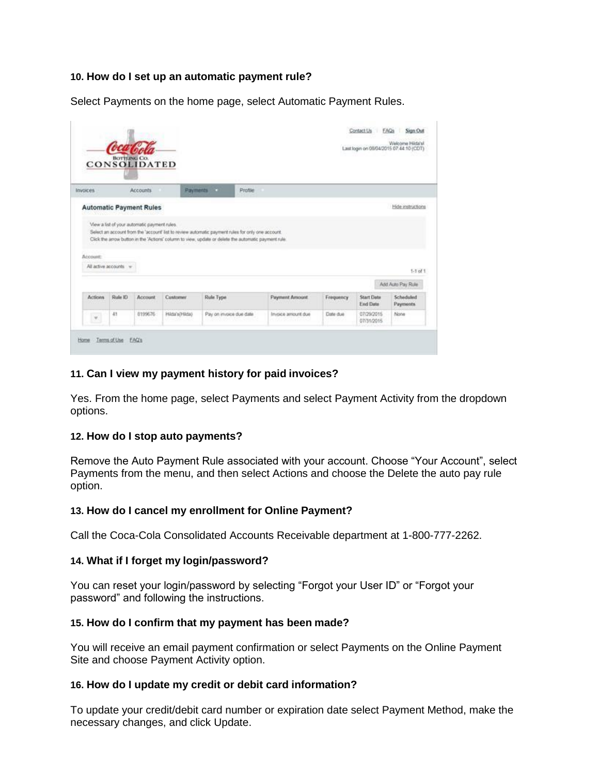### **10. How do I set up an automatic payment rule?**

Select Payments on the home page, select Automatic Payment Rules.

|          |                       |                                              |                 |                                                                                                      |         |                       |           | Last login on 08/04/2015 07:44:10 (CDT) | Welcome Hilds's!  |                   |
|----------|-----------------------|----------------------------------------------|-----------------|------------------------------------------------------------------------------------------------------|---------|-----------------------|-----------|-----------------------------------------|-------------------|-------------------|
|          |                       | CONSOLIDATED                                 |                 |                                                                                                      |         |                       |           |                                         |                   |                   |
| Invoices |                       | <b>Accounts</b>                              | <b>Payments</b> | o a                                                                                                  | Profile |                       |           |                                         |                   |                   |
|          |                       | <b>Automatic Payment Rules</b>               |                 |                                                                                                      |         |                       |           |                                         |                   | Hide instructions |
|          |                       |                                              |                 |                                                                                                      |         |                       |           |                                         |                   |                   |
|          |                       |                                              |                 |                                                                                                      |         |                       |           |                                         |                   |                   |
|          |                       | View a list of your automatic payment rules. |                 |                                                                                                      |         |                       |           |                                         |                   |                   |
|          |                       |                                              |                 | Select an account from the 'account' list to review automatic payment rules for only one account.    |         |                       |           |                                         |                   |                   |
|          |                       |                                              |                 | Click the arrow button in the 'Actions' column to view, update or delete the automatic payment rule. |         |                       |           |                                         |                   |                   |
|          |                       |                                              |                 |                                                                                                      |         |                       |           |                                         |                   |                   |
|          |                       |                                              |                 |                                                                                                      |         |                       |           |                                         |                   |                   |
| Account: | All active secounts - |                                              |                 |                                                                                                      |         |                       |           |                                         |                   |                   |
|          |                       |                                              |                 |                                                                                                      |         |                       |           |                                         |                   | $1-1$ of $1$ .    |
|          |                       |                                              |                 |                                                                                                      |         |                       |           |                                         | Add Auto Pay Rule |                   |
| Actions  | Shake ID              | Account                                      | Customer        | Rule Type                                                                                            |         | <b>Payment Amount</b> | Frequency | <b>Start Date</b>                       |                   | Scheduled         |
|          |                       |                                              |                 |                                                                                                      |         |                       |           | <b>End Date</b>                         |                   | <b>Payments</b>   |
| $\psi$   | $-41$                 | 8199676                                      | Hilda's (Hilda) | Pay on invoice due date                                                                              |         | Invoice amount due    | Date due  | 07/29/2015<br>07/31/2015                | None              |                   |

# **11. Can I view my payment history for paid invoices?**

Yes. From the home page, select Payments and select Payment Activity from the dropdown options.

### **12. How do I stop auto payments?**

Remove the Auto Payment Rule associated with your account. Choose "Your Account", select Payments from the menu, and then select Actions and choose the Delete the auto pay rule option.

### **13. How do I cancel my enrollment for Online Payment?**

Call the Coca-Cola Consolidated Accounts Receivable department at 1-800-777-2262.

### **14. What if I forget my login/password?**

You can reset your login/password by selecting "Forgot your User ID" or "Forgot your password" and following the instructions.

#### **15. How do I confirm that my payment has been made?**

You will receive an email payment confirmation or select Payments on the Online Payment Site and choose Payment Activity option.

#### **16. How do I update my credit or debit card information?**

To update your credit/debit card number or expiration date select Payment Method, make the necessary changes, and click Update.